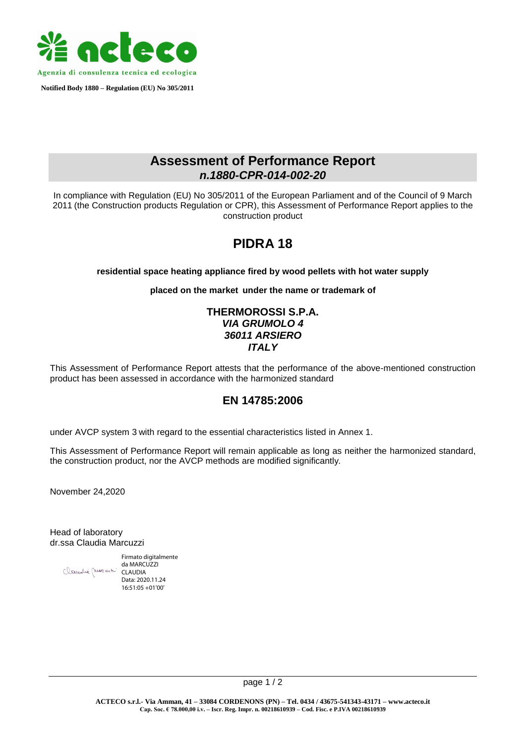

 **Notified Body 1880 – Regulation (EU) No 305/2011**

# **Assessment of Performance Report** *n.1880-CPR***-***014-002-20*

In compliance with Regulation (EU) No 305/2011 of the European Parliament and of the Council of 9 March 2011 (the Construction products Regulation or CPR), this Assessment of Performance Report applies to the construction product

# **PIDRA 18**

#### **residential space heating appliance fired by wood pellets with hot water supply**

**placed on the market under the name or trademark of**

### **THERMOROSSI S.P.A.** *VIA GRUMOLO 4 36011 ARSIERO ITALY*

This Assessment of Performance Report attests that the performance of the above-mentioned construction product has been assessed in accordance with the harmonized standard

## **EN 14785:2006**

under AVCP system 3 with regard to the essential characteristics listed in Annex 1.

This Assessment of Performance Report will remain applicable as long as neither the harmonized standard, the construction product, nor the AVCP methods are modified significantly*.*

November 24,2020

Head of laboratory dr.ssa Claudia Marcuzzi

Firmato digitalmente da MARCUZZI CLAUDIA Data: 2020.11.24 16:51:05 +01'00'